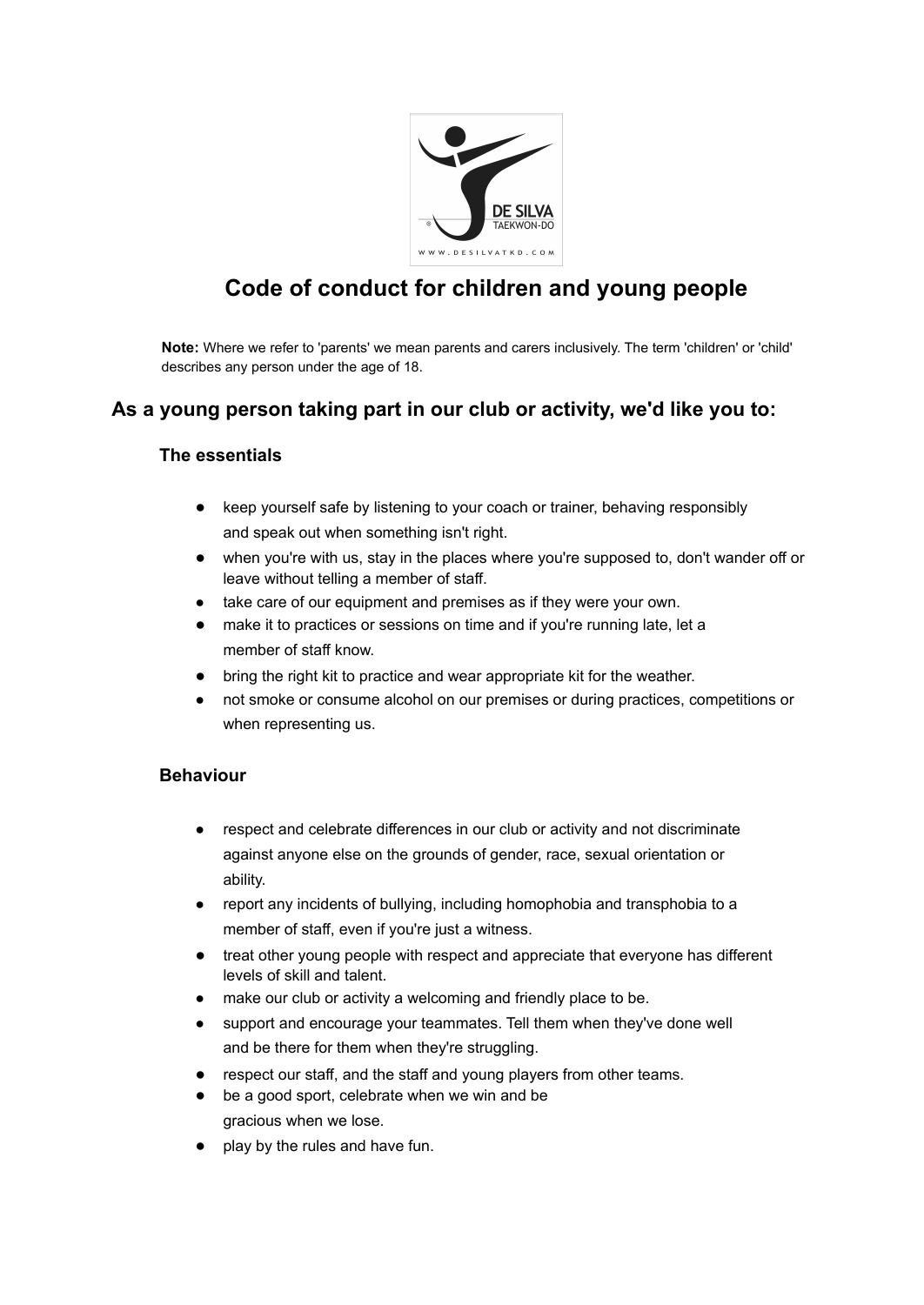

# **Code of conduct for children and young people**

**Note:** Where we refer to 'parents' we mean parents and carers inclusively. The term 'children' or 'child' describes any person under the age of 18.

## **As a young person taking part in our club or activity, we'd like you to:**

#### **The essentials**

- keep yourself safe by listening to your coach or trainer, behaving responsibly and speak out when something isn't right.
- when you're with us, stay in the places where you're supposed to, don't wander off or leave without telling a member of staff.
- take care of our equipment and premises as if they were your own.
- make it to practices or sessions on time and if you're running late, let a member of staff know.
- bring the right kit to practice and wear appropriate kit for the weather.
- not smoke or consume alcohol on our premises or during practices, competitions or when representing us.

#### **Behaviour**

- respect and celebrate differences in our club or activity and not discriminate against anyone else on the grounds of gender, race, sexual orientation or ability.
- report any incidents of bullying, including homophobia and transphobia to a member of staff, even if you're just a witness.
- treat other young people with respect and appreciate that everyone has different levels of skill and talent.
- make our club or activity a welcoming and friendly place to be.
- support and encourage your teammates. Tell them when they've done well and be there for them when they're struggling.
- respect our staff, and the staff and young players from other teams.
- be a good sport, celebrate when we win and be gracious when we lose.
- play by the rules and have fun.